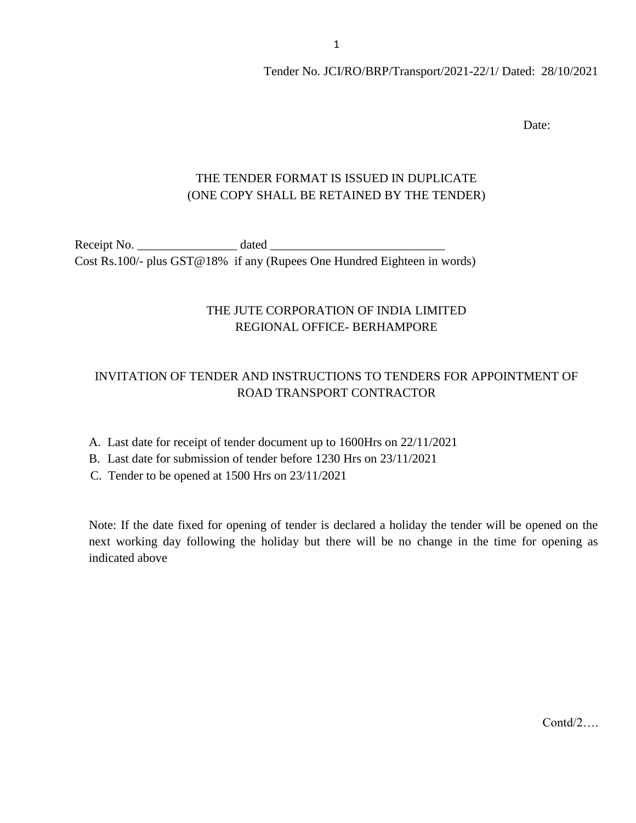Date:

## THE TENDER FORMAT IS ISSUED IN DUPLICATE (ONE COPY SHALL BE RETAINED BY THE TENDER)

Receipt No. \_\_\_\_\_\_\_\_\_\_\_\_\_\_\_\_ dated \_\_\_\_\_\_\_\_\_\_\_\_\_\_\_\_\_\_\_\_\_\_\_\_\_\_\_\_ Cost Rs.100/- plus GST@18% if any (Rupees One Hundred Eighteen in words)

### THE JUTE CORPORATION OF INDIA LIMITED REGIONAL OFFICE- BERHAMPORE

## INVITATION OF TENDER AND INSTRUCTIONS TO TENDERS FOR APPOINTMENT OF ROAD TRANSPORT CONTRACTOR

- A. Last date for receipt of tender document up to 1600Hrs on 22/11/2021
- B. Last date for submission of tender before 1230 Hrs on 23/11/2021
- C. Tender to be opened at 1500 Hrs on 23/11/2021

Note: If the date fixed for opening of tender is declared a holiday the tender will be opened on the next working day following the holiday but there will be no change in the time for opening as indicated above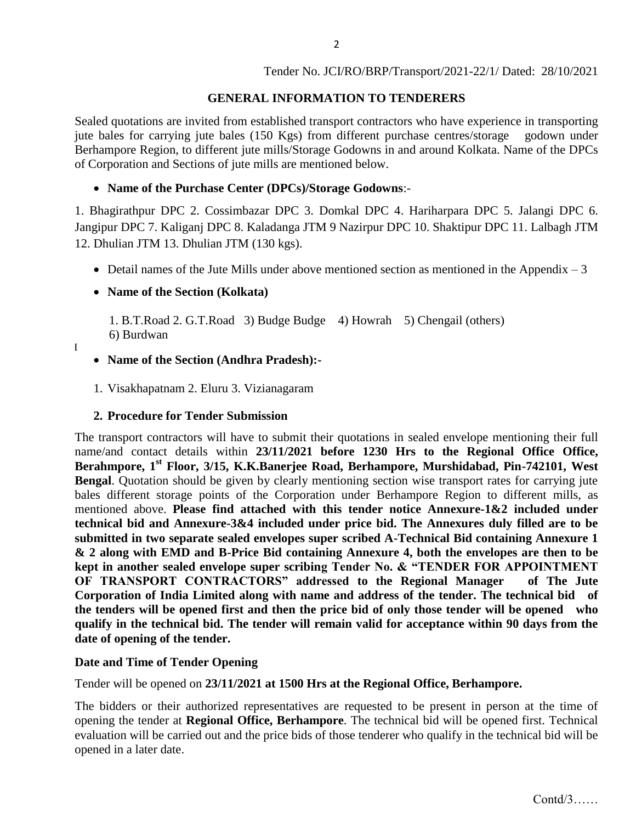### **GENERAL INFORMATION TO TENDERERS**

Sealed quotations are invited from established transport contractors who have experience in transporting jute bales for carrying jute bales (150 Kgs) from different purchase centres/storage godown under Berhampore Region, to different jute mills/Storage Godowns in and around Kolkata. Name of the DPCs of Corporation and Sections of jute mills are mentioned below.

#### **Name of the Purchase Center (DPCs)/Storage Godowns**:-

1. Bhagirathpur DPC 2. Cossimbazar DPC 3. Domkal DPC 4. Hariharpara DPC 5. Jalangi DPC 6. Jangipur DPC 7. Kaliganj DPC 8. Kaladanga JTM 9 Nazirpur DPC 10. Shaktipur DPC 11. Lalbagh JTM 12. Dhulian JTM 13. Dhulian JTM (130 kgs).

• Detail names of the Jute Mills under above mentioned section as mentioned in the Appendix  $-3$ 

### **Name of the Section (Kolkata)**

 1. B.T.Road 2. G.T.Road 3) Budge Budge 4) Howrah 5) Chengail (others) 6) Burdwan

#### **[**

#### **Name of the Section (Andhra Pradesh):-**

1. Visakhapatnam 2. Eluru 3. Vizianagaram

#### **2. Procedure for Tender Submission**

The transport contractors will have to submit their quotations in sealed envelope mentioning their full name/and contact details within **23/11/2021 before 1230 Hrs to the Regional Office Office, Berahmpore, 1st Floor, 3/15, K.K.Banerjee Road, Berhampore, Murshidabad, Pin-742101, West Bengal.** Quotation should be given by clearly mentioning section wise transport rates for carrying jute bales different storage points of the Corporation under Berhampore Region to different mills, as mentioned above. **Please find attached with this tender notice Annexure-1&2 included under technical bid and Annexure-3&4 included under price bid. The Annexures duly filled are to be submitted in two separate sealed envelopes super scribed A-Technical Bid containing Annexure 1 & 2 along with EMD and B-Price Bid containing Annexure 4, both the envelopes are then to be kept in another sealed envelope super scribing Tender No. & "TENDER FOR APPOINTMENT OF TRANSPORT CONTRACTORS" addressed to the Regional Manager of The Jute Corporation of India Limited along with name and address of the tender. The technical bid of the tenders will be opened first and then the price bid of only those tender will be opened who qualify in the technical bid. The tender will remain valid for acceptance within 90 days from the date of opening of the tender.**

#### **Date and Time of Tender Opening**

Tender will be opened on **23/11/2021 at 1500 Hrs at the Regional Office, Berhampore.**

The bidders or their authorized representatives are requested to be present in person at the time of opening the tender at **Regional Office, Berhampore**. The technical bid will be opened first. Technical evaluation will be carried out and the price bids of those tenderer who qualify in the technical bid will be opened in a later date.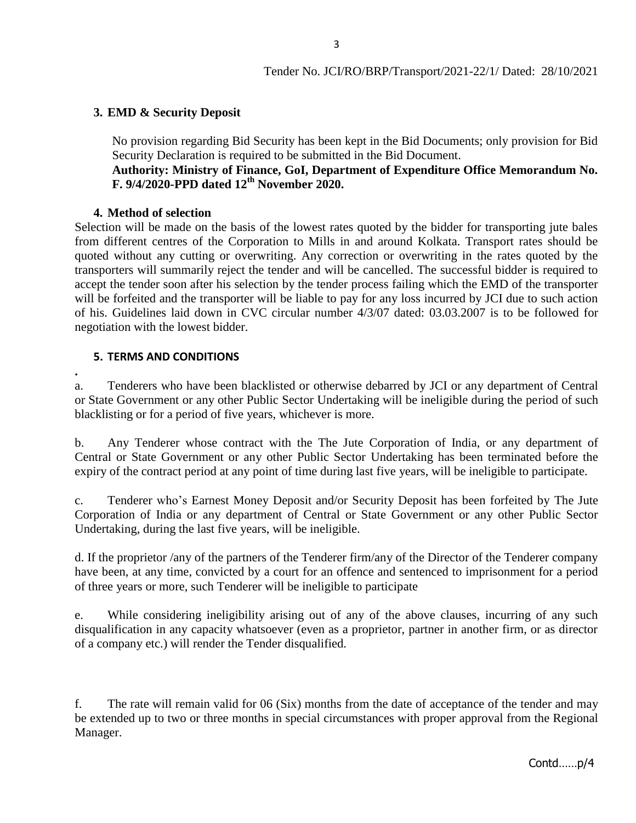#### **3. EMD & Security Deposit**

No provision regarding Bid Security has been kept in the Bid Documents; only provision for Bid Security Declaration is required to be submitted in the Bid Document.

#### **Authority: Ministry of Finance, GoI, Department of Expenditure Office Memorandum No. F. 9/4/2020-PPD dated 12th November 2020.**

#### **4. Method of selection**

Selection will be made on the basis of the lowest rates quoted by the bidder for transporting jute bales from different centres of the Corporation to Mills in and around Kolkata. Transport rates should be quoted without any cutting or overwriting. Any correction or overwriting in the rates quoted by the transporters will summarily reject the tender and will be cancelled. The successful bidder is required to accept the tender soon after his selection by the tender process failing which the EMD of the transporter will be forfeited and the transporter will be liable to pay for any loss incurred by JCI due to such action of his. Guidelines laid down in CVC circular number 4/3/07 dated: 03.03.2007 is to be followed for negotiation with the lowest bidder.

#### **5. TERMS AND CONDITIONS**

**.**

a. Tenderers who have been blacklisted or otherwise debarred by JCI or any department of Central or State Government or any other Public Sector Undertaking will be ineligible during the period of such blacklisting or for a period of five years, whichever is more.

b. Any Tenderer whose contract with the The Jute Corporation of India, or any department of Central or State Government or any other Public Sector Undertaking has been terminated before the expiry of the contract period at any point of time during last five years, will be ineligible to participate.

c. Tenderer who's Earnest Money Deposit and/or Security Deposit has been forfeited by The Jute Corporation of India or any department of Central or State Government or any other Public Sector Undertaking, during the last five years, will be ineligible.

d. If the proprietor /any of the partners of the Tenderer firm/any of the Director of the Tenderer company have been, at any time, convicted by a court for an offence and sentenced to imprisonment for a period of three years or more, such Tenderer will be ineligible to participate

e. While considering ineligibility arising out of any of the above clauses, incurring of any such disqualification in any capacity whatsoever (even as a proprietor, partner in another firm, or as director of a company etc.) will render the Tender disqualified.

f. The rate will remain valid for 06 (Six) months from the date of acceptance of the tender and may be extended up to two or three months in special circumstances with proper approval from the Regional Manager.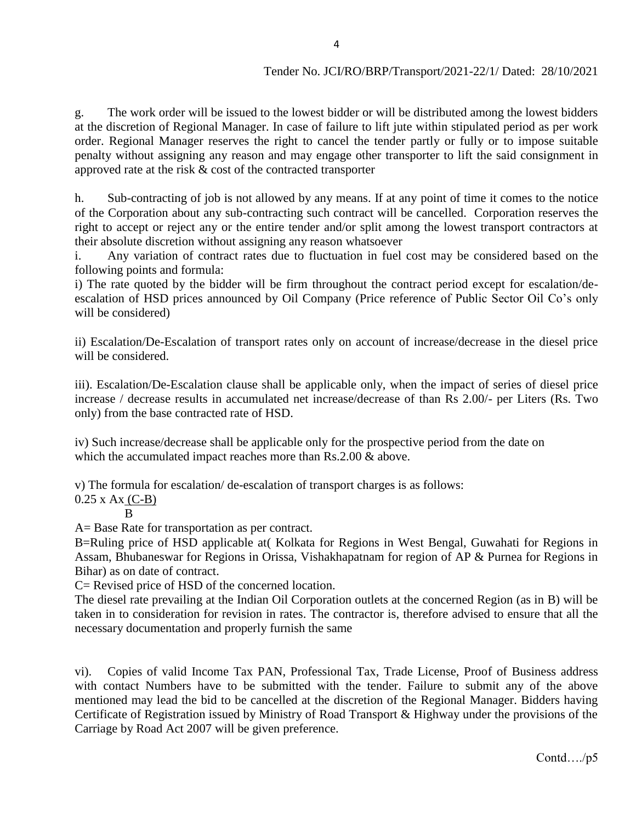g. The work order will be issued to the lowest bidder or will be distributed among the lowest bidders at the discretion of Regional Manager. In case of failure to lift jute within stipulated period as per work order. Regional Manager reserves the right to cancel the tender partly or fully or to impose suitable penalty without assigning any reason and may engage other transporter to lift the said consignment in approved rate at the risk & cost of the contracted transporter

h. Sub-contracting of job is not allowed by any means. If at any point of time it comes to the notice of the Corporation about any sub-contracting such contract will be cancelled. Corporation reserves the right to accept or reject any or the entire tender and/or split among the lowest transport contractors at their absolute discretion without assigning any reason whatsoever

i. Any variation of contract rates due to fluctuation in fuel cost may be considered based on the following points and formula:

i) The rate quoted by the bidder will be firm throughout the contract period except for escalation/deescalation of HSD prices announced by Oil Company (Price reference of Public Sector Oil Co's only will be considered)

ii) Escalation/De-Escalation of transport rates only on account of increase/decrease in the diesel price will be considered.

iii). Escalation/De-Escalation clause shall be applicable only, when the impact of series of diesel price increase / decrease results in accumulated net increase/decrease of than Rs 2.00/- per Liters (Rs. Two only) from the base contracted rate of HSD.

iv) Such increase/decrease shall be applicable only for the prospective period from the date on which the accumulated impact reaches more than Rs.2.00 & above.

v) The formula for escalation/ de-escalation of transport charges is as follows:

 $0.25$  x Ax  $(C-B)$ 

B

A= Base Rate for transportation as per contract.

B=Ruling price of HSD applicable at( Kolkata for Regions in West Bengal, Guwahati for Regions in Assam, Bhubaneswar for Regions in Orissa, Vishakhapatnam for region of AP & Purnea for Regions in Bihar) as on date of contract.

C= Revised price of HSD of the concerned location.

The diesel rate prevailing at the Indian Oil Corporation outlets at the concerned Region (as in B) will be taken in to consideration for revision in rates. The contractor is, therefore advised to ensure that all the necessary documentation and properly furnish the same

vi). Copies of valid Income Tax PAN, Professional Tax, Trade License, Proof of Business address with contact Numbers have to be submitted with the tender. Failure to submit any of the above mentioned may lead the bid to be cancelled at the discretion of the Regional Manager. Bidders having Certificate of Registration issued by Ministry of Road Transport & Highway under the provisions of the Carriage by Road Act 2007 will be given preference.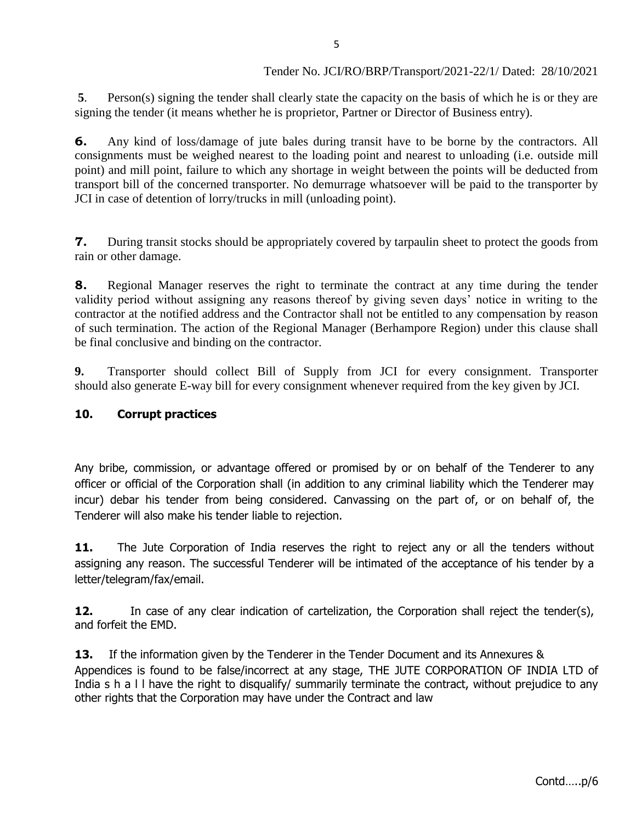**5**. Person(s) signing the tender shall clearly state the capacity on the basis of which he is or they are signing the tender (it means whether he is proprietor, Partner or Director of Business entry).

**6.** Any kind of loss/damage of jute bales during transit have to be borne by the contractors. All consignments must be weighed nearest to the loading point and nearest to unloading (i.e. outside mill point) and mill point, failure to which any shortage in weight between the points will be deducted from transport bill of the concerned transporter. No demurrage whatsoever will be paid to the transporter by JCI in case of detention of lorry/trucks in mill (unloading point).

**7.** During transit stocks should be appropriately covered by tarpaulin sheet to protect the goods from rain or other damage.

**8.** Regional Manager reserves the right to terminate the contract at any time during the tender validity period without assigning any reasons thereof by giving seven days' notice in writing to the contractor at the notified address and the Contractor shall not be entitled to any compensation by reason of such termination. The action of the Regional Manager (Berhampore Region) under this clause shall be final conclusive and binding on the contractor.

**9.** Transporter should collect Bill of Supply from JCI for every consignment. Transporter should also generate E-way bill for every consignment whenever required from the key given by JCI.

#### **10. Corrupt practices**

Any bribe, commission, or advantage offered or promised by or on behalf of the Tenderer to any officer or official of the Corporation shall (in addition to any criminal liability which the Tenderer may incur) debar his tender from being considered. Canvassing on the part of, or on behalf of, the Tenderer will also make his tender liable to rejection.

**11.** The Jute Corporation of India reserves the right to reject any or all the tenders without assigning any reason. The successful Tenderer will be intimated of the acceptance of his tender by a letter/telegram/fax/email.

**12.** In case of any clear indication of cartelization, the Corporation shall reject the tender(s), and forfeit the EMD.

**13.** If the information given by the Tenderer in the Tender Document and its Annexures & Appendices is found to be false/incorrect at any stage, THE JUTE CORPORATION OF INDIA LTD of India s h a l l have the right to disqualify/ summarily terminate the contract, without prejudice to any other rights that the Corporation may have under the Contract and law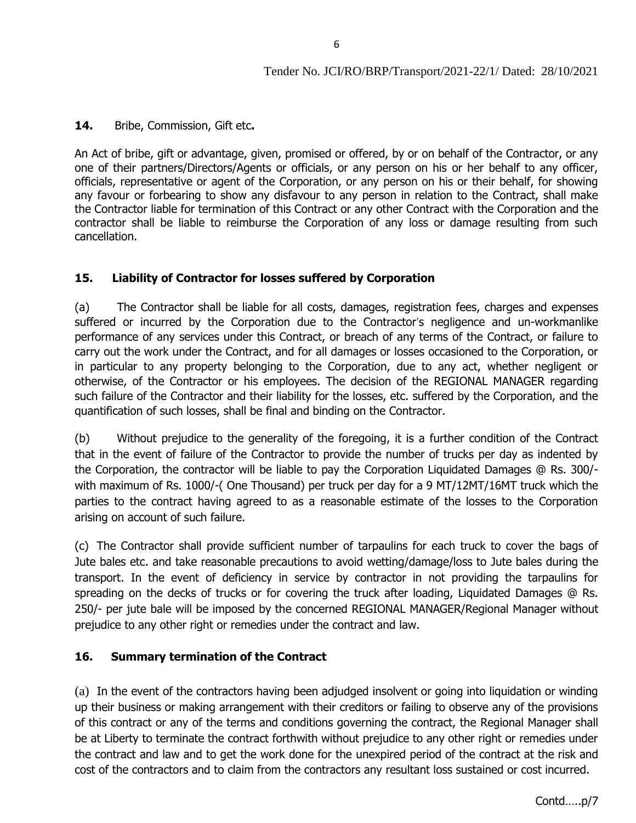#### **14.** Bribe, Commission, Gift etc**.**

An Act of bribe, gift or advantage, given, promised or offered, by or on behalf of the Contractor, or any one of their partners/Directors/Agents or officials, or any person on his or her behalf to any officer, officials, representative or agent of the Corporation, or any person on his or their behalf, for showing any favour or forbearing to show any disfavour to any person in relation to the Contract, shall make the Contractor liable for termination of this Contract or any other Contract with the Corporation and the contractor shall be liable to reimburse the Corporation of any loss or damage resulting from such cancellation.

### **15. Liability of Contractor for losses suffered by Corporation**

(a) The Contractor shall be liable for all costs, damages, registration fees, charges and expenses suffered or incurred by the Corporation due to the Contractor's negligence and un-workmanlike performance of any services under this Contract, or breach of any terms of the Contract, or failure to carry out the work under the Contract, and for all damages or losses occasioned to the Corporation, or in particular to any property belonging to the Corporation, due to any act, whether negligent or otherwise, of the Contractor or his employees. The decision of the REGIONAL MANAGER regarding such failure of the Contractor and their liability for the losses, etc. suffered by the Corporation, and the quantification of such losses, shall be final and binding on the Contractor.

(b) Without prejudice to the generality of the foregoing, it is a further condition of the Contract that in the event of failure of the Contractor to provide the number of trucks per day as indented by the Corporation, the contractor will be liable to pay the Corporation Liquidated Damages @ Rs. 300/ with maximum of Rs. 1000/-( One Thousand) per truck per day for a 9 MT/12MT/16MT truck which the parties to the contract having agreed to as a reasonable estimate of the losses to the Corporation arising on account of such failure.

(c) The Contractor shall provide sufficient number of tarpaulins for each truck to cover the bags of Jute bales etc. and take reasonable precautions to avoid wetting/damage/loss to Jute bales during the transport. In the event of deficiency in service by contractor in not providing the tarpaulins for spreading on the decks of trucks or for covering the truck after loading, Liquidated Damages @ Rs. 250/- per jute bale will be imposed by the concerned REGIONAL MANAGER/Regional Manager without prejudice to any other right or remedies under the contract and law.

#### **16. Summary termination of the Contract**

(a) In the event of the contractors having been adjudged insolvent or going into liquidation or winding up their business or making arrangement with their creditors or failing to observe any of the provisions of this contract or any of the terms and conditions governing the contract, the Regional Manager shall be at Liberty to terminate the contract forthwith without prejudice to any other right or remedies under the contract and law and to get the work done for the unexpired period of the contract at the risk and cost of the contractors and to claim from the contractors any resultant loss sustained or cost incurred.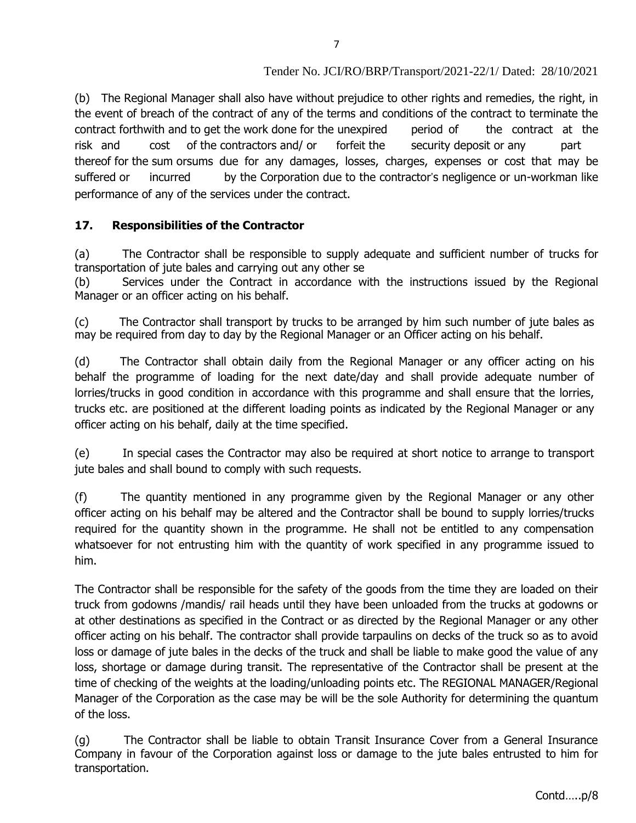(b) The Regional Manager shall also have without prejudice to other rights and remedies, the right, in the event of breach of the contract of any of the terms and conditions of the contract to terminate the contract forthwith and to get the work done for the unexpired period of the contract at the risk and cost of the contractors and/ or forfeit the security deposit or any part thereof for the sum orsums due for any damages, losses, charges, expenses or cost that may be suffered or incurred by the Corporation due to the contractor's negligence or un-workman like performance of any of the services under the contract.

### **17. Responsibilities of the Contractor**

(a) The Contractor shall be responsible to supply adequate and sufficient number of trucks for transportation of jute bales and carrying out any other se

(b) Services under the Contract in accordance with the instructions issued by the Regional Manager or an officer acting on his behalf.

(c) The Contractor shall transport by trucks to be arranged by him such number of jute bales as may be required from day to day by the Regional Manager or an Officer acting on his behalf.

(d) The Contractor shall obtain daily from the Regional Manager or any officer acting on his behalf the programme of loading for the next date/day and shall provide adequate number of lorries/trucks in good condition in accordance with this programme and shall ensure that the lorries, trucks etc. are positioned at the different loading points as indicated by the Regional Manager or any officer acting on his behalf, daily at the time specified.

(e) In special cases the Contractor may also be required at short notice to arrange to transport jute bales and shall bound to comply with such requests.

(f) The quantity mentioned in any programme given by the Regional Manager or any other officer acting on his behalf may be altered and the Contractor shall be bound to supply lorries/trucks required for the quantity shown in the programme. He shall not be entitled to any compensation whatsoever for not entrusting him with the quantity of work specified in any programme issued to him.

The Contractor shall be responsible for the safety of the goods from the time they are loaded on their truck from godowns /mandis/ rail heads until they have been unloaded from the trucks at godowns or at other destinations as specified in the Contract or as directed by the Regional Manager or any other officer acting on his behalf. The contractor shall provide tarpaulins on decks of the truck so as to avoid loss or damage of jute bales in the decks of the truck and shall be liable to make good the value of any loss, shortage or damage during transit. The representative of the Contractor shall be present at the time of checking of the weights at the loading/unloading points etc. The REGIONAL MANAGER/Regional Manager of the Corporation as the case may be will be the sole Authority for determining the quantum of the loss.

(g) The Contractor shall be liable to obtain Transit Insurance Cover from a General Insurance Company in favour of the Corporation against loss or damage to the jute bales entrusted to him for transportation.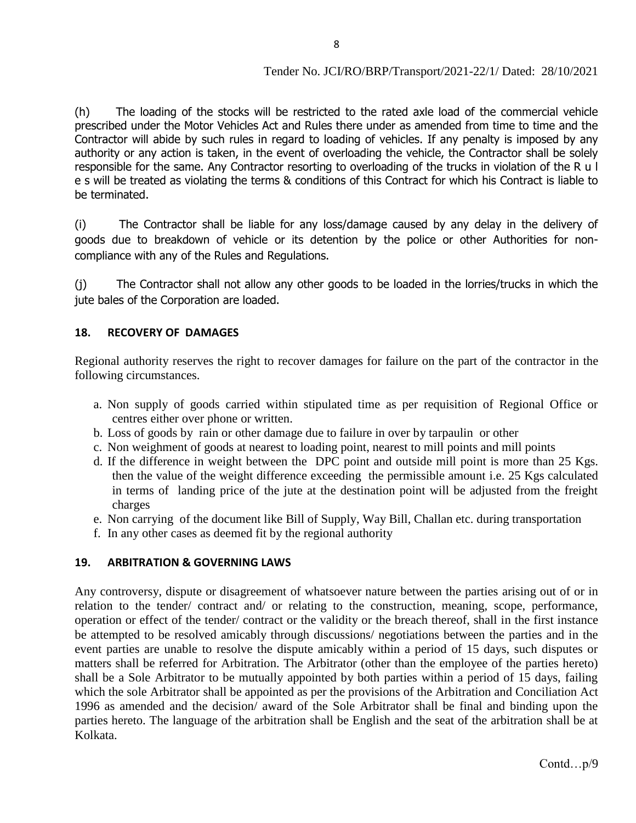(h) The loading of the stocks will be restricted to the rated axle load of the commercial vehicle prescribed under the Motor Vehicles Act and Rules there under as amended from time to time and the Contractor will abide by such rules in regard to loading of vehicles. If any penalty is imposed by any authority or any action is taken, in the event of overloading the vehicle, the Contractor shall be solely responsible for the same. Any Contractor resorting to overloading of the trucks in violation of the R u l e s will be treated as violating the terms & conditions of this Contract for which his Contract is liable to be terminated.

(i) The Contractor shall be liable for any loss/damage caused by any delay in the delivery of goods due to breakdown of vehicle or its detention by the police or other Authorities for noncompliance with any of the Rules and Regulations.

(j) The Contractor shall not allow any other goods to be loaded in the lorries/trucks in which the jute bales of the Corporation are loaded.

#### **18. RECOVERY OF DAMAGES**

Regional authority reserves the right to recover damages for failure on the part of the contractor in the following circumstances.

- a. Non supply of goods carried within stipulated time as per requisition of Regional Office or centres either over phone or written.
- b. Loss of goods by rain or other damage due to failure in over by tarpaulin or other
- c. Non weighment of goods at nearest to loading point, nearest to mill points and mill points
- d. If the difference in weight between the DPC point and outside mill point is more than 25 Kgs. then the value of the weight difference exceeding the permissible amount i.e. 25 Kgs calculated in terms of landing price of the jute at the destination point will be adjusted from the freight charges
- e. Non carrying of the document like Bill of Supply, Way Bill, Challan etc. during transportation
- f. In any other cases as deemed fit by the regional authority

#### **19. ARBITRATION & GOVERNING LAWS**

Any controversy, dispute or disagreement of whatsoever nature between the parties arising out of or in relation to the tender/ contract and/ or relating to the construction, meaning, scope, performance, operation or effect of the tender/ contract or the validity or the breach thereof, shall in the first instance be attempted to be resolved amicably through discussions/ negotiations between the parties and in the event parties are unable to resolve the dispute amicably within a period of 15 days, such disputes or matters shall be referred for Arbitration. The Arbitrator (other than the employee of the parties hereto) shall be a Sole Arbitrator to be mutually appointed by both parties within a period of 15 days, failing which the sole Arbitrator shall be appointed as per the provisions of the Arbitration and Conciliation Act 1996 as amended and the decision/ award of the Sole Arbitrator shall be final and binding upon the parties hereto. The language of the arbitration shall be English and the seat of the arbitration shall be at Kolkata.

Contd…p/9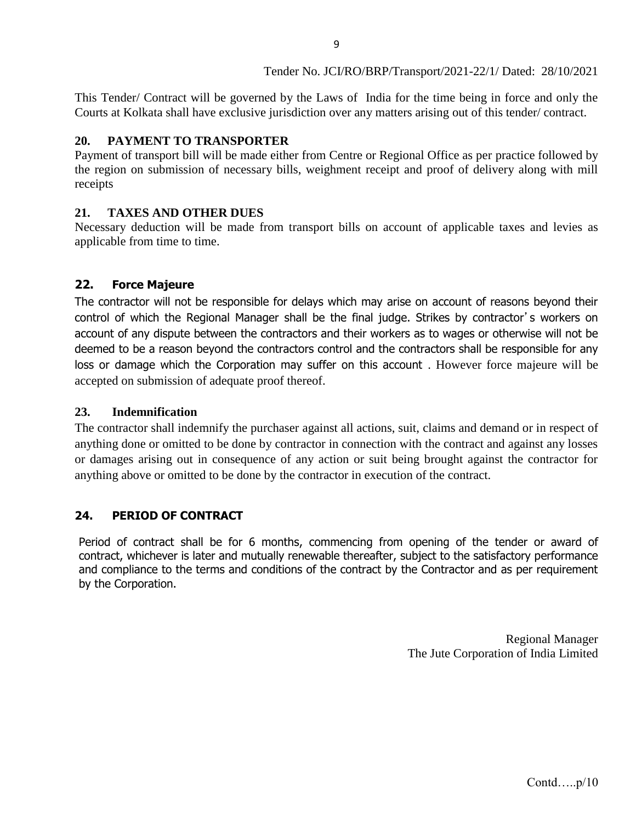This Tender/ Contract will be governed by the Laws of India for the time being in force and only the Courts at Kolkata shall have exclusive jurisdiction over any matters arising out of this tender/ contract.

9

## **20. PAYMENT TO TRANSPORTER**

Payment of transport bill will be made either from Centre or Regional Office as per practice followed by the region on submission of necessary bills, weighment receipt and proof of delivery along with mill receipts

## **21. TAXES AND OTHER DUES**

Necessary deduction will be made from transport bills on account of applicable taxes and levies as applicable from time to time.

## **22. Force Majeure**

The contractor will not be responsible for delays which may arise on account of reasons beyond their control of which the Regional Manager shall be the final judge. Strikes by contractor's workers on account of any dispute between the contractors and their workers as to wages or otherwise will not be deemed to be a reason beyond the contractors control and the contractors shall be responsible for any loss or damage which the Corporation may suffer on this account . However force majeure will be accepted on submission of adequate proof thereof.

### **23. Indemnification**

The contractor shall indemnify the purchaser against all actions, suit, claims and demand or in respect of anything done or omitted to be done by contractor in connection with the contract and against any losses or damages arising out in consequence of any action or suit being brought against the contractor for anything above or omitted to be done by the contractor in execution of the contract.

## **24. PERIOD OF CONTRACT**

Period of contract shall be for 6 months, commencing from opening of the tender or award of contract, whichever is later and mutually renewable thereafter, subject to the satisfactory performance and compliance to the terms and conditions of the contract by the Contractor and as per requirement by the Corporation.

> Regional Manager The Jute Corporation of India Limited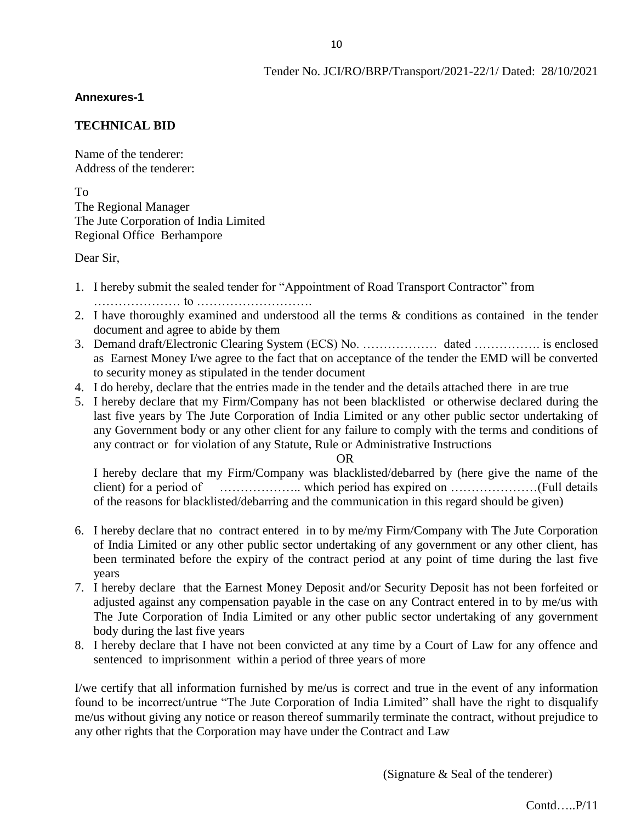#### **Annexures-1**

#### **TECHNICAL BID**

Name of the tenderer: Address of the tenderer:

To

The Regional Manager The Jute Corporation of India Limited Regional Office Berhampore

Dear Sir,

- 1. I hereby submit the sealed tender for "Appointment of Road Transport Contractor" from ………………… to ……………………….
- 2. I have thoroughly examined and understood all the terms & conditions as contained in the tender document and agree to abide by them
- 3. Demand draft/Electronic Clearing System (ECS) No. ……………… dated ……………. is enclosed as Earnest Money I/we agree to the fact that on acceptance of the tender the EMD will be converted to security money as stipulated in the tender document
- 4. I do hereby, declare that the entries made in the tender and the details attached there in are true
- 5. I hereby declare that my Firm/Company has not been blacklisted or otherwise declared during the last five years by The Jute Corporation of India Limited or any other public sector undertaking of any Government body or any other client for any failure to comply with the terms and conditions of any contract or for violation of any Statute, Rule or Administrative Instructions

#### OR

I hereby declare that my Firm/Company was blacklisted/debarred by (here give the name of the client) for a period of ……………….. which period has expired on …………………(Full details of the reasons for blacklisted/debarring and the communication in this regard should be given)

- 6. I hereby declare that no contract entered in to by me/my Firm/Company with The Jute Corporation of India Limited or any other public sector undertaking of any government or any other client, has been terminated before the expiry of the contract period at any point of time during the last five years
- 7. I hereby declare that the Earnest Money Deposit and/or Security Deposit has not been forfeited or adjusted against any compensation payable in the case on any Contract entered in to by me/us with The Jute Corporation of India Limited or any other public sector undertaking of any government body during the last five years
- 8. I hereby declare that I have not been convicted at any time by a Court of Law for any offence and sentenced to imprisonment within a period of three years of more

I/we certify that all information furnished by me/us is correct and true in the event of any information found to be incorrect/untrue "The Jute Corporation of India Limited" shall have the right to disqualify me/us without giving any notice or reason thereof summarily terminate the contract, without prejudice to any other rights that the Corporation may have under the Contract and Law

(Signature & Seal of the tenderer)

Contd…..P/11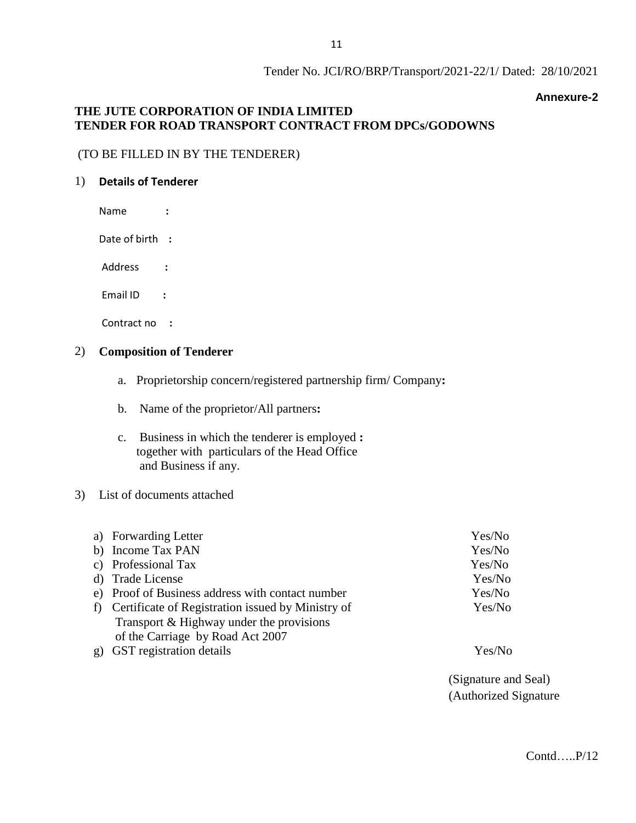#### **Annexure-2**

#### **THE JUTE CORPORATION OF INDIA LIMITED TENDER FOR ROAD TRANSPORT CONTRACT FROM DPCs/GODOWNS**

#### (TO BE FILLED IN BY THE TENDERER)

#### 1) **Details of Tenderer**

Name **:**

Date of birth **:**

Address **:**

Email ID **:**

Contract no **:**

#### 2) **Composition of Tenderer**

- a. Proprietorship concern/registered partnership firm/ Company**:**
- b. Name of the proprietor/All partners**:**
- c. Business in which the tenderer is employed **:** together with particulars of the Head Office and Business if any.

#### 3) List of documents attached

|   | a) Forwarding Letter                              | Yes/No |
|---|---------------------------------------------------|--------|
|   | b) Income Tax PAN                                 | Yes/No |
|   | c) Professional Tax                               | Yes/No |
|   | d) Trade License                                  | Yes/No |
|   | e) Proof of Business address with contact number  | Yes/No |
| f | Certificate of Registration issued by Ministry of | Yes/No |
|   | Transport & Highway under the provisions          |        |
|   | of the Carriage by Road Act 2007                  |        |

- g) GST registration details Yes/No
	-

(Signature and Seal) (Authorized Signature

Contd…..P/12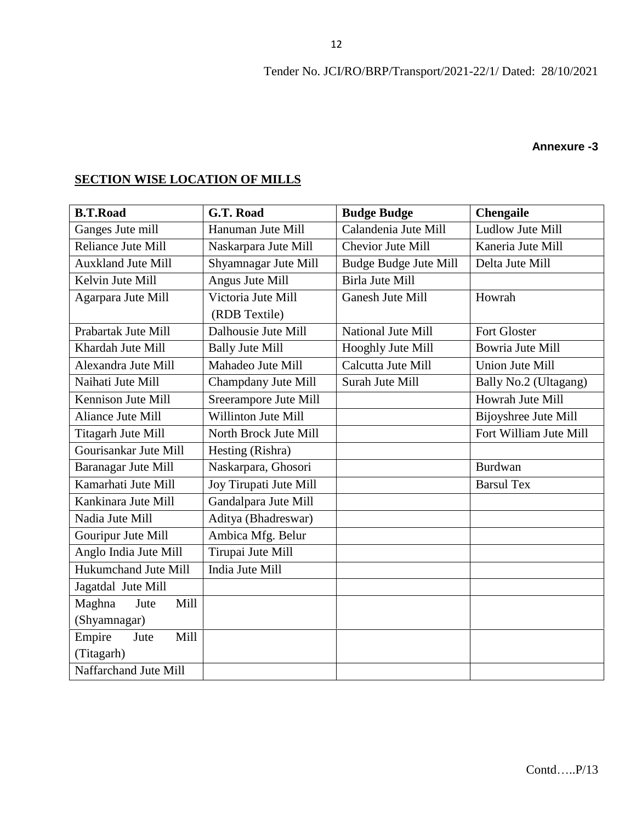#### **Annexure -3**

# **SECTION WISE LOCATION OF MILLS**

| <b>B.T.Road</b>           | G.T. Road              | <b>Budge Budge</b>                           | <b>Chengaile</b>       |  |  |
|---------------------------|------------------------|----------------------------------------------|------------------------|--|--|
| Ganges Jute mill          | Hanuman Jute Mill      | Calandenia Jute Mill                         | Ludlow Jute Mill       |  |  |
| <b>Reliance Jute Mill</b> | Naskarpara Jute Mill   | <b>Chevior Jute Mill</b>                     | Kaneria Jute Mill      |  |  |
| <b>Auxkland Jute Mill</b> | Shyamnagar Jute Mill   | <b>Budge Budge Jute Mill</b>                 | Delta Jute Mill        |  |  |
| Kelvin Jute Mill          | Angus Jute Mill        | <b>Birla Jute Mill</b>                       |                        |  |  |
| Agarpara Jute Mill        | Victoria Jute Mill     | Ganesh Jute Mill                             | Howrah                 |  |  |
|                           | (RDB Textile)          |                                              |                        |  |  |
| Prabartak Jute Mill       | Dalhousie Jute Mill    | National Jute Mill                           | <b>Fort Gloster</b>    |  |  |
| Khardah Jute Mill         | <b>Bally Jute Mill</b> | <b>Bowria Jute Mill</b><br>Hooghly Jute Mill |                        |  |  |
| Alexandra Jute Mill       | Mahadeo Jute Mill      | Calcutta Jute Mill                           | <b>Union Jute Mill</b> |  |  |
| Naihati Jute Mill         | Champdany Jute Mill    | Surah Jute Mill                              | Bally No.2 (Ultagang)  |  |  |
| Kennison Jute Mill        | Sreerampore Jute Mill  |                                              | Howrah Jute Mill       |  |  |
| Aliance Jute Mill         | Willinton Jute Mill    |                                              | Bijoyshree Jute Mill   |  |  |
| Titagarh Jute Mill        | North Brock Jute Mill  |                                              | Fort William Jute Mill |  |  |
| Gourisankar Jute Mill     | Hesting (Rishra)       |                                              |                        |  |  |
| Baranagar Jute Mill       | Naskarpara, Ghosori    |                                              | <b>Burdwan</b>         |  |  |
| Kamarhati Jute Mill       | Joy Tirupati Jute Mill |                                              | <b>Barsul Tex</b>      |  |  |
| Kankinara Jute Mill       | Gandalpara Jute Mill   |                                              |                        |  |  |
| Nadia Jute Mill           | Aditya (Bhadreswar)    |                                              |                        |  |  |
| Gouripur Jute Mill        | Ambica Mfg. Belur      |                                              |                        |  |  |
| Anglo India Jute Mill     | Tirupai Jute Mill      |                                              |                        |  |  |
| Hukumchand Jute Mill      | India Jute Mill        |                                              |                        |  |  |
| Jagatdal Jute Mill        |                        |                                              |                        |  |  |
| Maghna<br>Mill<br>Jute    |                        |                                              |                        |  |  |
| (Shyamnagar)              |                        |                                              |                        |  |  |
| Empire<br>Mill<br>Jute    |                        |                                              |                        |  |  |
| (Titagarh)                |                        |                                              |                        |  |  |
| Naffarchand Jute Mill     |                        |                                              |                        |  |  |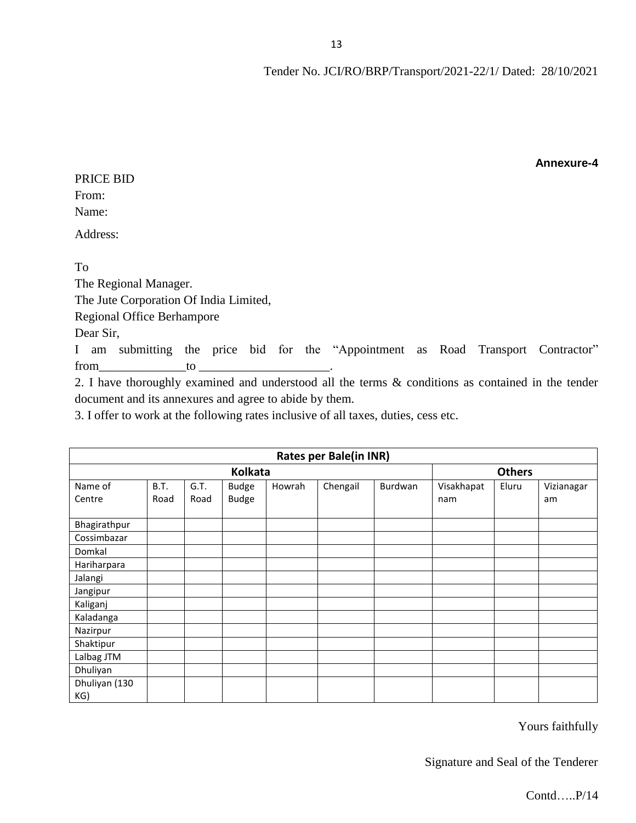| PRICE BID                                                                                          |    |  |  |  |  |
|----------------------------------------------------------------------------------------------------|----|--|--|--|--|
| From:                                                                                              |    |  |  |  |  |
| Name:                                                                                              |    |  |  |  |  |
| Address:                                                                                           |    |  |  |  |  |
|                                                                                                    |    |  |  |  |  |
| To                                                                                                 |    |  |  |  |  |
| The Regional Manager.                                                                              |    |  |  |  |  |
| The Jute Corporation Of India Limited,                                                             |    |  |  |  |  |
| <b>Regional Office Berhampore</b>                                                                  |    |  |  |  |  |
| Dear Sir,                                                                                          |    |  |  |  |  |
| I am submitting the price bid for the "Appointment as Road Transport Contractor"                   |    |  |  |  |  |
| from                                                                                               | to |  |  |  |  |
| 2. I have thoroughly examined and understood all the terms & conditions as contained in the tender |    |  |  |  |  |
| document and its annexures and agree to abide by them.                                             |    |  |  |  |  |
|                                                                                                    |    |  |  |  |  |

3. I offer to work at the following rates inclusive of all taxes, duties, cess etc.

| <b>Rates per Bale(in INR)</b> |               |      |              |        |          |         |            |       |            |
|-------------------------------|---------------|------|--------------|--------|----------|---------|------------|-------|------------|
|                               | <b>Others</b> |      |              |        |          |         |            |       |            |
| Name of                       | <b>B.T.</b>   | G.T. | <b>Budge</b> | Howrah | Chengail | Burdwan | Visakhapat | Eluru | Vizianagar |
| Centre                        | Road          | Road | <b>Budge</b> |        |          |         | nam        |       | am         |
| Bhagirathpur                  |               |      |              |        |          |         |            |       |            |
| Cossimbazar                   |               |      |              |        |          |         |            |       |            |
| Domkal                        |               |      |              |        |          |         |            |       |            |
| Hariharpara                   |               |      |              |        |          |         |            |       |            |
| Jalangi                       |               |      |              |        |          |         |            |       |            |
| Jangipur                      |               |      |              |        |          |         |            |       |            |
| Kaliganj                      |               |      |              |        |          |         |            |       |            |
| Kaladanga                     |               |      |              |        |          |         |            |       |            |
| Nazirpur                      |               |      |              |        |          |         |            |       |            |
| Shaktipur                     |               |      |              |        |          |         |            |       |            |
| Lalbag JTM                    |               |      |              |        |          |         |            |       |            |
| Dhuliyan                      |               |      |              |        |          |         |            |       |            |
| Dhuliyan (130                 |               |      |              |        |          |         |            |       |            |
| KG)                           |               |      |              |        |          |         |            |       |            |

Yours faithfully

**Annexure-4**

Signature and Seal of the Tenderer